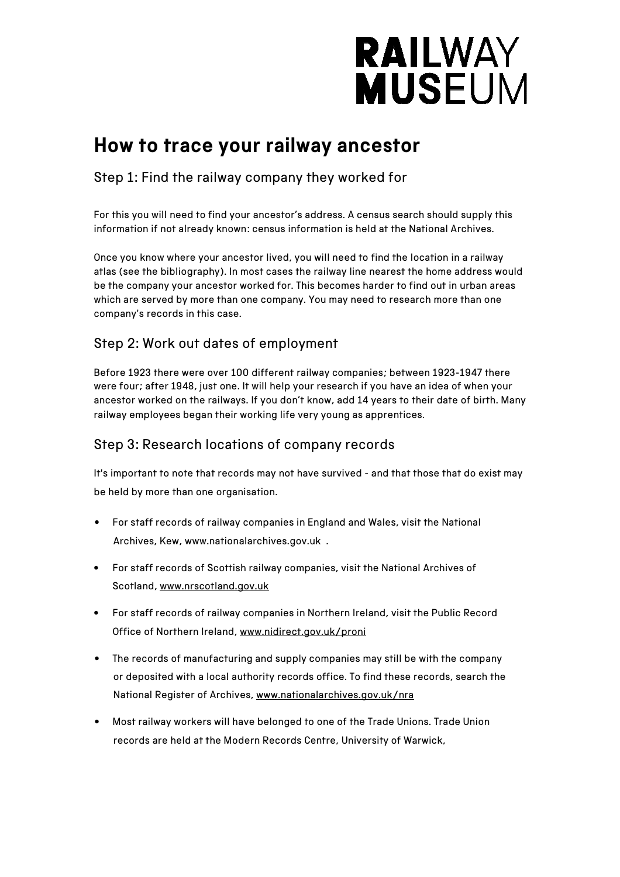# **RAILWAY MUSEUM**

### **How to trace your railway ancestor**

Step 1: Find the railway company they worked for

For this you will need to find your ancestor's address. A census search should supply this information if not already known: census information is held at the National Archives.

Once you know where your ancestor lived, you will need to find the location in a railway atlas (see the bibliography). In most cases the railway line nearest the home address would be the company your ancestor worked for. This becomes harder to find out in urban areas which are served by more than one company. You may need to research more than one company's records in this case.

### Step 2: Work out dates of employment

Before 1923 there were over 100 different railway companies; between 1923-1947 there were four; after 1948, just one. It will help your research if you have an idea of when your ancestor worked on the railways. If you don't know, add 14 years to their date of birth. Many railway employees began their working life very young as apprentices.

### Step 3: Research locations of company records

It's important to note that records may not have survived - and that those that do exist may be held by more than one organisation.

- For staff records of railway companies in England and Wales, visit the National Archives, Kew, www.nationalarchives.gov.uk .
- For staff records of Scottish railway companies, visit the National Archives of Scotland, www.nrscotland.gov.uk
- For staff records of railway companies in Northern Ireland, visit the Public Record Office of Northern Ireland, www.nidirect.gov.uk/proni
- The records of manufacturing and supply companies may still be with the company or deposited with a local authority records office. To find these records, search the National Register of Archives, www.nationalarchives.gov.uk/nra
- Most railway workers will have belonged to one of the Trade Unions. Trade Union records are held at the Modern Records Centre, University of Warwick,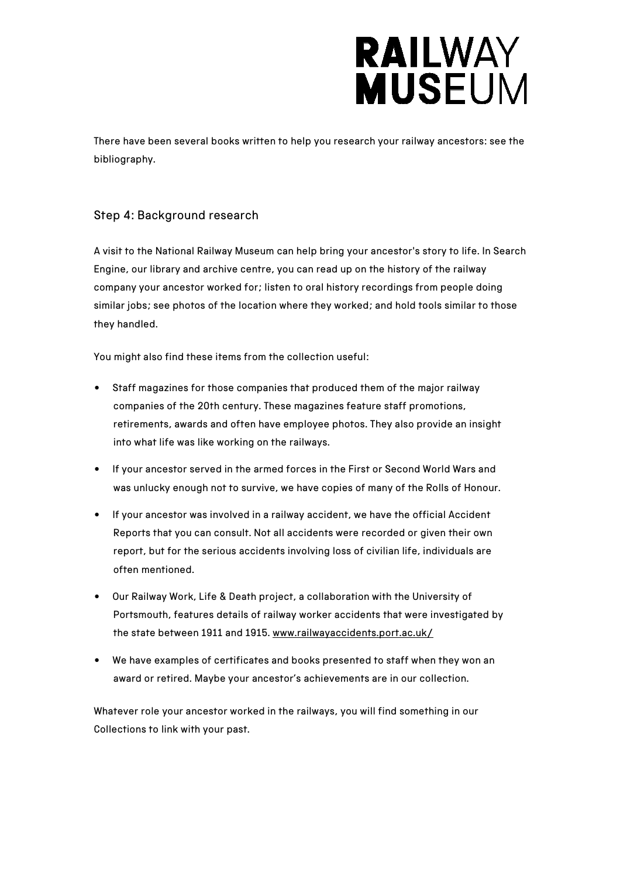## **RAILWAY MUSEUM**

There have been several books written to help you research your railway ancestors: see the bibliography.

#### Step 4: Background research

A visit to the National Railway Museum can help bring your ancestor's story to life. In Search Engine, our library and archive centre, you can read up on the history of the railway company your ancestor worked for; listen to oral history recordings from people doing similar jobs; see photos of the location where they worked; and hold tools similar to those they handled.

You might also find these items from the collection useful:

- Staff magazines for those companies that produced them of the major railway companies of the 20th century. These magazines feature staff promotions, retirements, awards and often have employee photos. They also provide an insight into what life was like working on the railways.
- If your ancestor served in the armed forces in the First or Second World Wars and was unlucky enough not to survive, we have copies of many of the Rolls of Honour.
- If your ancestor was involved in a railway accident, we have the official Accident Reports that you can consult. Not all accidents were recorded or given their own report, but for the serious accidents involving loss of civilian life, individuals are often mentioned.
- Our Railway Work, Life & Death project, a collaboration with the University of Portsmouth, features details of railway worker accidents that were investigated by the state between 1911 and 1915. www.railwayaccidents.port.ac.uk/
- We have examples of certificates and books presented to staff when they won an award or retired. Maybe your ancestor's achievements are in our collection.

Whatever role your ancestor worked in the railways, you will find something in our Collections to link with your past.